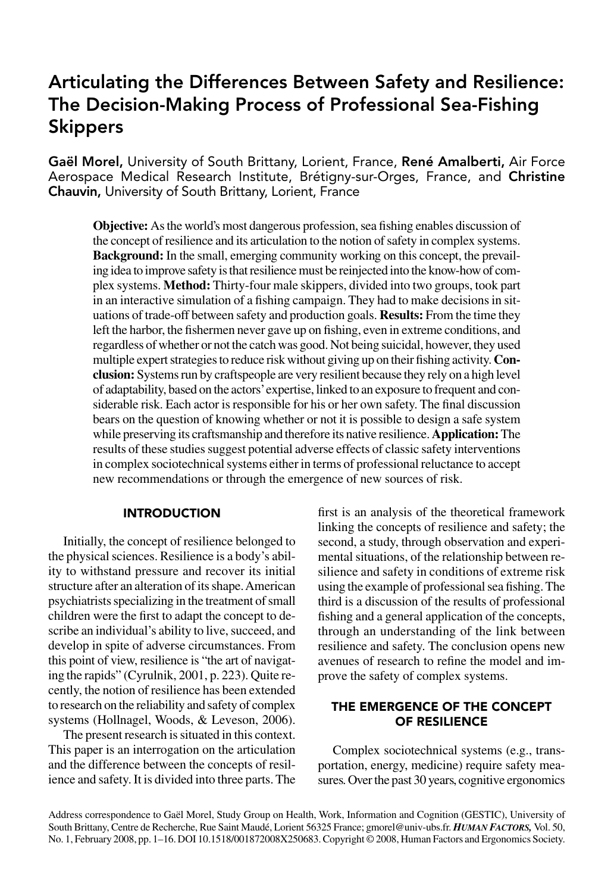# Articulating the Differences Between Safety and Resilience: The Decision-Making Process of Professional Sea-Fishing **Skippers**

Gaël Morel, University of South Brittany, Lorient, France, René Amalberti, Air Force Aerospace Medical Research Institute, Brétigny-sur-Orges, France, and Christine Chauvin, University of South Brittany, Lorient, France

**Objective:** As the world's most dangerous profession, sea fishing enables discussion of the concept of resilience and its articulation to the notion of safety in complex systems. **Background:** In the small, emerging community working on this concept, the prevailing idea to improve safety is that resilience must be reinjected into the know-how of complex systems. **Method:** Thirty-four male skippers, divided into two groups, took part in an interactive simulation of a fishing campaign. They had to make decisions in situations of trade-off between safety and production goals. **Results:** From the time they left the harbor, the fishermen never gave up on fishing, even in extreme conditions, and regardless of whether or not the catch was good. Not being suicidal, however, they used multiple expert strategies to reduce risk without giving up on their fishing activity. **Conclusion:** Systems run by craftspeople are very resilient because they rely on a high level of adaptability, based on the actors'expertise, linked to an exposure to frequent and considerable risk. Each actor is responsible for his or her own safety. The final discussion bears on the question of knowing whether or not it is possible to design a safe system while preserving its craftsmanship and therefore its native resilience. **Application:**The results of these studies suggest potential adverse effects of classic safety interventions in complex sociotechnical systems either in terms of professional reluctance to accept new recommendations or through the emergence of new sources of risk.

## INTRODUCTION

Initially, the concept of resilience belonged to the physical sciences. Resilience is a body's ability to withstand pressure and recover its initial structure after an alteration of its shape. American psychiatrists specializing in the treatment of small children were the first to adapt the concept to describe an individual's ability to live, succeed, and develop in spite of adverse circumstances. From this point of view, resilience is "the art of navigating the rapids" (Cyrulnik, 2001, p. 223). Quite recently, the notion of resilience has been extended to research on the reliability and safety of complex systems (Hollnagel, Woods, & Leveson, 2006).

The present research is situated in this context. This paper is an interrogation on the articulation and the difference between the concepts of resilience and safety. It is divided into three parts. The

first is an analysis of the theoretical framework linking the concepts of resilience and safety; the second, a study, through observation and experimental situations, of the relationship between resilience and safety in conditions of extreme risk using the example of professional sea fishing. The third is a discussion of the results of professional fishing and a general application of the concepts, through an understanding of the link between resilience and safety. The conclusion opens new avenues of research to refine the model and improve the safety of complex systems.

## THE EMERGENCE OF THE CONCEPT OF RESILIENCE

Complex sociotechnical systems (e.g., transportation, energy, medicine) require safety measures. Over the past 30 years, cognitive ergonomics

Address correspondence to Gaël Morel, Study Group on Health, Work, Information and Cognition (GESTIC), University of South Brittany, Centre de Recherche, Rue Saint Maudé, Lorient 56325 France; gmorel@univ-ubs.fr. *HUMAN FACTORS,* Vol. 50, No. 1, February 2008, pp. 1–16. DOI 10.1518/001872008X250683. Copyright © 2008, Human Factors and Ergonomics Society.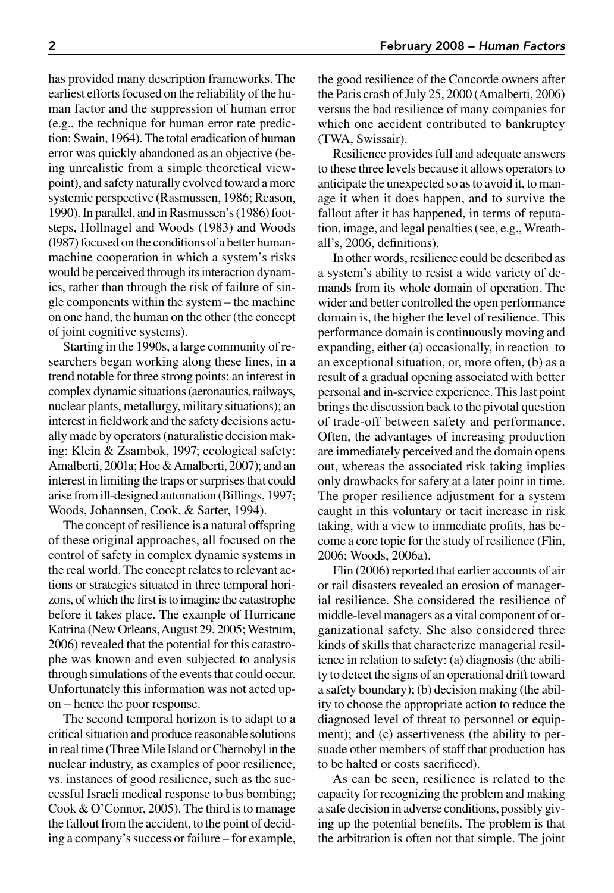has provided many description frameworks. The earliest efforts focused on the reliability of the human factor and the suppression of human error (e.g., the technique for human error rate prediction: Swain, 1964). The total eradication of human error was quickly abandoned as an objective (being unrealistic from a simple theoretical viewpoint), and safety naturally evolved toward a more systemic perspective (Rasmussen, 1986; Reason, 1990). In parallel, and in Rasmussen's (1986) footsteps, Hollnagel and Woods (1983) and Woods (1987) focused on the conditions of a better humanmachine cooperation in which a system's risks would be perceived through its interaction dynamics, rather than through the risk of failure of single components within the system – the machine on one hand, the human on the other (the concept of joint cognitive systems).

Starting in the 1990s, a large community of researchers began working along these lines, in a trend notable for three strong points: an interest in complex dynamic situations (aeronautics, railways, nuclear plants, metallurgy, military situations); an interest in fieldwork and the safety decisions actually made by operators (naturalistic decision making: Klein & Zsambok, 1997; ecological safety: Amalberti, 2001a; Hoc & Amalberti, 2007); and an interest in limiting the traps or surprises that could arise from ill-designed automation (Billings, 1997; Woods, Johannsen, Cook, & Sarter, 1994).

The concept of resilience is a natural offspring of these original approaches, all focused on the control of safety in complex dynamic systems in the real world. The concept relates to relevant actions or strategies situated in three temporal horizons, of which the first is to imagine the catastrophe before it takes place. The example of Hurricane Katrina (New Orleans, August 29, 2005; Westrum, 2006) revealed that the potential for this catastrophe was known and even subjected to analysis through simulations of the events that could occur. Unfortunately this information was not acted upon – hence the poor response.

The second temporal horizon is to adapt to a critical situation and produce reasonable solutions in real time (Three Mile Island or Chernobyl in the nuclear industry, as examples of poor resilience, vs. instances of good resilience, such as the successful Israeli medical response to bus bombing; Cook & O'Connor, 2005). The third is to manage the fallout from the accident, to the point of deciding a company's success or failure – for example, the good resilience of the Concorde owners after the Paris crash of July 25, 2000 (Amalberti, 2006) versus the bad resilience of many companies for which one accident contributed to bankruptcy (TWA, Swissair).

Resilience provides full and adequate answers to these three levels because it allows operators to anticipate the unexpected so as to avoid it, to manage it when it does happen, and to survive the fallout after it has happened, in terms of reputation, image, and legal penalties (see, e.g., Wreathall's, 2006, definitions).

In other words, resilience could be described as a system's ability to resist a wide variety of demands from its whole domain of operation. The wider and better controlled the open performance domain is, the higher the level of resilience. This performance domain is continuously moving and expanding, either (a) occasionally, in reaction to an exceptional situation, or, more often, (b) as a result of a gradual opening associated with better personal and in-service experience. This last point brings the discussion back to the pivotal question of trade-off between safety and performance. Often, the advantages of increasing production are immediately perceived and the domain opens out, whereas the associated risk taking implies only drawbacks for safety at a later point in time. The proper resilience adjustment for a system caught in this voluntary or tacit increase in risk taking, with a view to immediate profits, has become a core topic for the study of resilience (Flin, 2006; Woods, 2006a).

Flin (2006) reported that earlier accounts of air or rail disasters revealed an erosion of managerial resilience. She considered the resilience of middle-level managers as a vital component of organizational safety. She also considered three kinds of skills that characterize managerial resilience in relation to safety: (a) diagnosis (the ability to detect the signs of an operational drift toward a safety boundary); (b) decision making (the ability to choose the appropriate action to reduce the diagnosed level of threat to personnel or equipment); and (c) assertiveness (the ability to persuade other members of staff that production has to be halted or costs sacrificed).

As can be seen, resilience is related to the capacity for recognizing the problem and making a safe decision in adverse conditions, possibly giving up the potential benefits. The problem is that the arbitration is often not that simple. The joint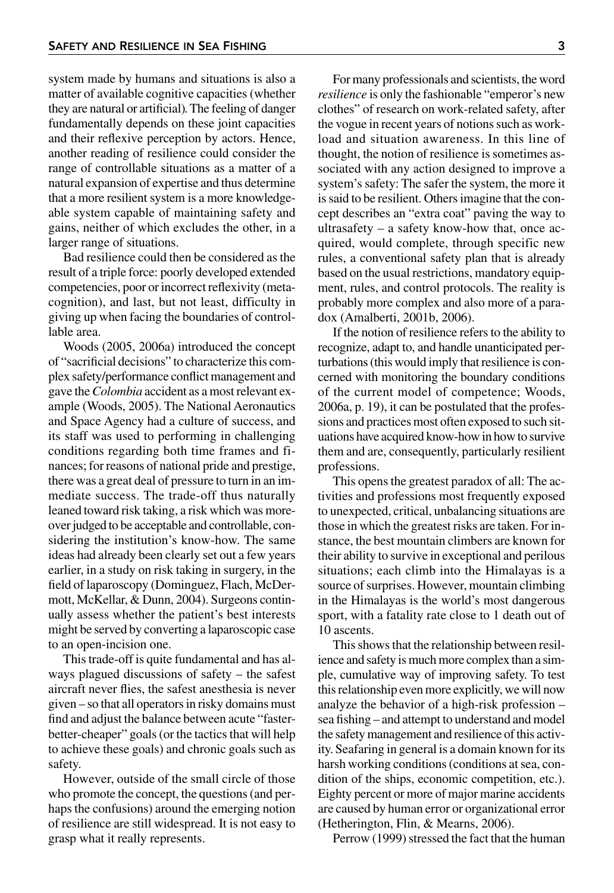system made by humans and situations is also a matter of available cognitive capacities (whether they are natural or artificial). The feeling of danger fundamentally depends on these joint capacities and their reflexive perception by actors. Hence, another reading of resilience could consider the range of controllable situations as a matter of a natural expansion of expertise and thus determine that a more resilient system is a more knowledgeable system capable of maintaining safety and gains, neither of which excludes the other, in a larger range of situations.

Bad resilience could then be considered as the result of a triple force: poorly developed extended competencies, poor or incorrect reflexivity (metacognition), and last, but not least, difficulty in giving up when facing the boundaries of controllable area.

Woods (2005, 2006a) introduced the concept of "sacrificial decisions" to characterize this complex safety/performance conflict management and gave the *Colombia* accident as a most relevant example (Woods, 2005). The National Aeronautics and Space Agency had a culture of success, and its staff was used to performing in challenging conditions regarding both time frames and finances; for reasons of national pride and prestige, there was a great deal of pressure to turn in an immediate success. The trade-off thus naturally leaned toward risk taking, a risk which was moreover judged to be acceptable and controllable, considering the institution's know-how. The same ideas had already been clearly set out a few years earlier, in a study on risk taking in surgery, in the field of laparoscopy (Dominguez, Flach, McDermott, McKellar, & Dunn, 2004). Surgeons continually assess whether the patient's best interests might be served by converting a laparoscopic case to an open-incision one.

This trade-off is quite fundamental and has always plagued discussions of safety – the safest aircraft never flies, the safest anesthesia is never given – so that all operators in risky domains must find and adjust the balance between acute "fasterbetter-cheaper" goals (or the tactics that will help to achieve these goals) and chronic goals such as safety.

However, outside of the small circle of those who promote the concept, the questions (and perhaps the confusions) around the emerging notion of resilience are still widespread. It is not easy to grasp what it really represents.

For many professionals and scientists, the word *resilience* is only the fashionable "emperor's new clothes" of research on work-related safety, after the vogue in recent years of notions such as workload and situation awareness. In this line of thought, the notion of resilience is sometimes associated with any action designed to improve a system's safety: The safer the system, the more it is said to be resilient. Others imagine that the concept describes an "extra coat" paving the way to ultrasafety – a safety know-how that, once acquired, would complete, through specific new rules, a conventional safety plan that is already based on the usual restrictions, mandatory equipment, rules, and control protocols. The reality is probably more complex and also more of a paradox (Amalberti, 2001b, 2006).

If the notion of resilience refers to the ability to recognize, adapt to, and handle unanticipated perturbations (this would imply that resilience is concerned with monitoring the boundary conditions of the current model of competence; Woods, 2006a, p. 19), it can be postulated that the professions and practices most often exposed to such situations have acquired know-how in how to survive them and are, consequently, particularly resilient professions.

This opens the greatest paradox of all: The activities and professions most frequently exposed to unexpected, critical, unbalancing situations are those in which the greatest risks are taken. For instance, the best mountain climbers are known for their ability to survive in exceptional and perilous situations; each climb into the Himalayas is a source of surprises. However, mountain climbing in the Himalayas is the world's most dangerous sport, with a fatality rate close to 1 death out of 10 ascents.

This shows that the relationship between resilience and safety is much more complex than a simple, cumulative way of improving safety. To test this relationship even more explicitly, we will now analyze the behavior of a high-risk profession – sea fishing – and attempt to understand and model the safety management and resilience of this activity. Seafaring in general is a domain known for its harsh working conditions (conditions at sea, condition of the ships, economic competition, etc.). Eighty percent or more of major marine accidents are caused by human error or organizational error (Hetherington, Flin, & Mearns, 2006).

Perrow (1999) stressed the fact that the human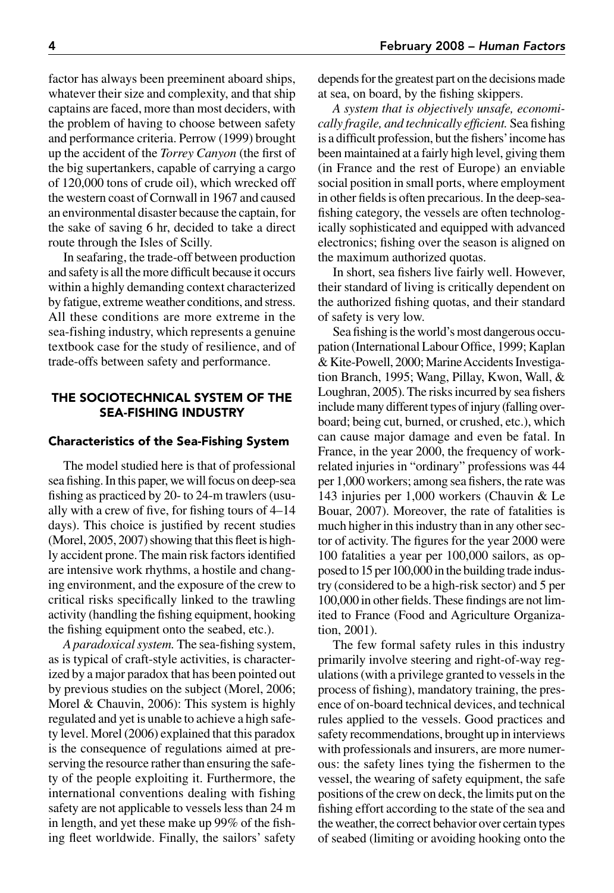factor has always been preeminent aboard ships, whatever their size and complexity, and that ship captains are faced, more than most deciders, with the problem of having to choose between safety and performance criteria. Perrow (1999) brought up the accident of the *Torrey Canyon* (the first of the big supertankers, capable of carrying a cargo of 120,000 tons of crude oil), which wrecked off the western coast of Cornwall in 1967 and caused an environmental disaster because the captain, for the sake of saving 6 hr, decided to take a direct route through the Isles of Scilly.

In seafaring, the trade-off between production and safety is all the more difficult because it occurs within a highly demanding context characterized by fatigue, extreme weather conditions, and stress. All these conditions are more extreme in the sea-fishing industry, which represents a genuine textbook case for the study of resilience, and of trade-offs between safety and performance.

## THE SOCIOTECHNICAL SYSTEM OF THE SEA-FISHING INDUSTRY

#### Characteristics of the Sea-Fishing System

The model studied here is that of professional sea fishing. In this paper, we will focus on deep-sea fishing as practiced by 20- to 24-m trawlers (usually with a crew of five, for fishing tours of 4–14 days). This choice is justified by recent studies (Morel, 2005, 2007) showing that this fleet is highly accident prone. The main risk factors identified are intensive work rhythms, a hostile and changing environment, and the exposure of the crew to critical risks specifically linked to the trawling activity (handling the fishing equipment, hooking the fishing equipment onto the seabed, etc.).

*Aparadoxical system.* The sea-fishing system, as is typical of craft-style activities, is characterized by a major paradox that has been pointed out by previous studies on the subject (Morel, 2006; Morel & Chauvin, 2006): This system is highly regulated and yet is unable to achieve a high safety level. Morel (2006) explained that this paradox is the consequence of regulations aimed at preserving the resource rather than ensuring the safety of the people exploiting it. Furthermore, the international conventions dealing with fishing safety are not applicable to vessels less than 24 m in length, and yet these make up 99% of the fishing fleet worldwide. Finally, the sailors' safety depends for the greatest part on the decisions made at sea, on board, by the fishing skippers.

*A system that is objectively unsafe, economically fragile, and technically efficient.* Sea fishing is a difficult profession, but the fishers'income has been maintained at a fairly high level, giving them (in France and the rest of Europe) an enviable social position in small ports, where employment in other fields is often precarious. In the deep-seafishing category, the vessels are often technologically sophisticated and equipped with advanced electronics; fishing over the season is aligned on the maximum authorized quotas.

In short, sea fishers live fairly well. However, their standard of living is critically dependent on the authorized fishing quotas, and their standard of safety is very low.

Sea fishing is the world's most dangerous occupation (International Labour Office, 1999; Kaplan & Kite-Powell, 2000; Marine Accidents Investigation Branch, 1995; Wang, Pillay, Kwon, Wall, & Loughran, 2005). The risks incurred by sea fishers include many different types of injury (falling overboard; being cut, burned, or crushed, etc.), which can cause major damage and even be fatal. In France, in the year 2000, the frequency of workrelated injuries in "ordinary" professions was 44 per 1,000 workers; among sea fishers, the rate was 143 injuries per 1,000 workers (Chauvin & Le Bouar, 2007). Moreover, the rate of fatalities is much higher in this industry than in any other sector of activity. The figures for the year 2000 were 100 fatalities a year per 100,000 sailors, as opposed to 15 per 100,000 in the building trade industry (considered to be a high-risk sector) and 5 per 100,000 in other fields. These findings are not limited to France (Food and Agriculture Organization, 2001).

The few formal safety rules in this industry primarily involve steering and right-of-way regulations (with a privilege granted to vessels in the process of fishing), mandatory training, the presence of on-board technical devices, and technical rules applied to the vessels. Good practices and safety recommendations, brought up in interviews with professionals and insurers, are more numerous: the safety lines tying the fishermen to the vessel, the wearing of safety equipment, the safe positions of the crew on deck, the limits put on the fishing effort according to the state of the sea and the weather, the correct behavior over certain types of seabed (limiting or avoiding hooking onto the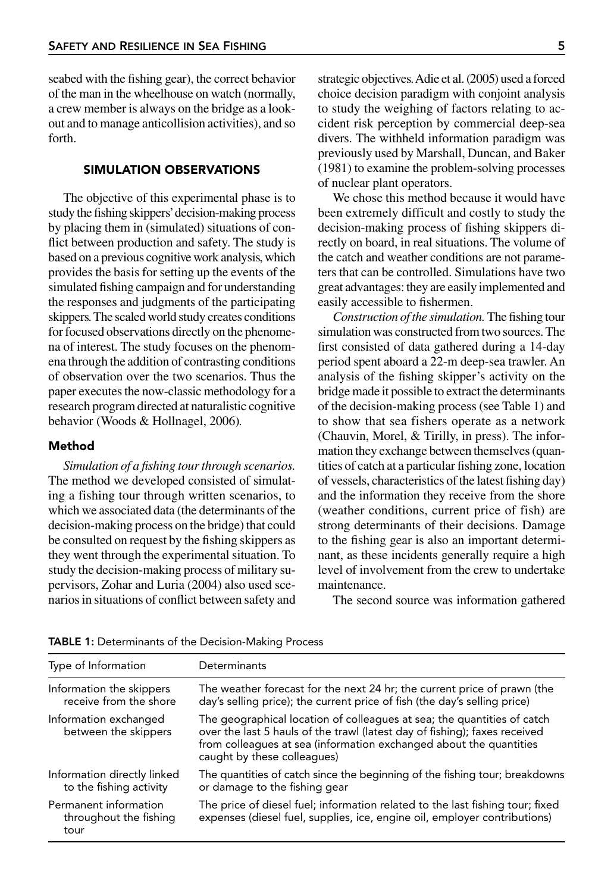seabed with the fishing gear), the correct behavior of the man in the wheelhouse on watch (normally, a crew member is always on the bridge as a lookout and to manage anticollision activities), and so forth.

## SIMULATION OBSERVATIONS

The objective of this experimental phase is to study the fishing skippers'decision-making process by placing them in (simulated) situations of conflict between production and safety. The study is based on a previous cognitive work analysis, which provides the basis for setting up the events of the simulated fishing campaign and for understanding the responses and judgments of the participating skippers. The scaled world study creates conditions for focused observations directly on the phenomena of interest. The study focuses on the phenomena through the addition of contrasting conditions of observation over the two scenarios. Thus the paper executes the now-classic methodology for a research program directed at naturalistic cognitive behavior (Woods & Hollnagel, 2006).

## Method

*Simulation of a fishing tour through scenarios.* The method we developed consisted of simulating a fishing tour through written scenarios, to which we associated data (the determinants of the decision-making process on the bridge) that could be consulted on request by the fishing skippers as they went through the experimental situation. To study the decision-making process of military supervisors, Zohar and Luria (2004) also used scenarios in situations of conflict between safety and strategic objectives. Adie et al. (2005) used a forced choice decision paradigm with conjoint analysis to study the weighing of factors relating to accident risk perception by commercial deep-sea divers. The withheld information paradigm was previously used by Marshall, Duncan, and Baker (1981) to examine the problem-solving processes of nuclear plant operators.

We chose this method because it would have been extremely difficult and costly to study the decision-making process of fishing skippers directly on board, in real situations. The volume of the catch and weather conditions are not parameters that can be controlled. Simulations have two great advantages: they are easily implemented and easily accessible to fishermen.

*Construction of the simulation.* The fishing tour simulation was constructed from two sources. The first consisted of data gathered during a 14-day period spent aboard a 22-m deep-sea trawler. An analysis of the fishing skipper's activity on the bridge made it possible to extract the determinants of the decision-making process (see Table 1) and to show that sea fishers operate as a network (Chauvin, Morel, & Tirilly, in press). The information they exchange between themselves (quantities of catch at a particular fishing zone, location of vessels, characteristics of the latest fishing day) and the information they receive from the shore (weather conditions, current price of fish) are strong determinants of their decisions. Damage to the fishing gear is also an important determinant, as these incidents generally require a high level of involvement from the crew to undertake maintenance.

The second source was information gathered

| Type of Information                                     | Determinants                                                                                                                                                                                                                                               |
|---------------------------------------------------------|------------------------------------------------------------------------------------------------------------------------------------------------------------------------------------------------------------------------------------------------------------|
| Information the skippers<br>receive from the shore      | The weather forecast for the next 24 hr; the current price of prawn (the<br>day's selling price); the current price of fish (the day's selling price)                                                                                                      |
| Information exchanged<br>between the skippers           | The geographical location of colleagues at sea; the quantities of catch<br>over the last 5 hauls of the trawl (latest day of fishing); faxes received<br>from colleagues at sea (information exchanged about the quantities<br>caught by these colleagues) |
| Information directly linked<br>to the fishing activity  | The quantities of catch since the beginning of the fishing tour; breakdowns<br>or damage to the fishing gear                                                                                                                                               |
| Permanent information<br>throughout the fishing<br>tour | The price of diesel fuel; information related to the last fishing tour; fixed<br>expenses (diesel fuel, supplies, ice, engine oil, employer contributions)                                                                                                 |

TABLE 1: Determinants of the Decision-Making Process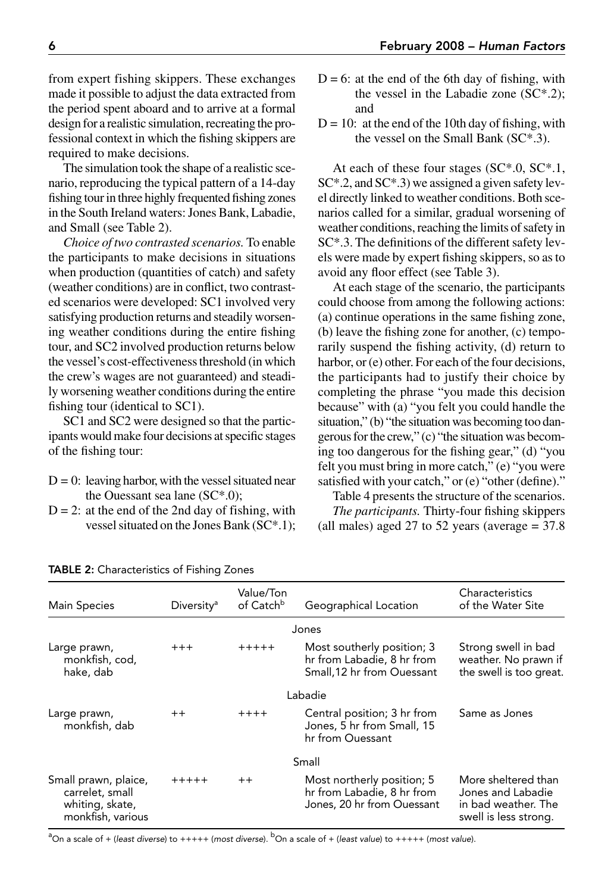from expert fishing skippers. These exchanges made it possible to adjust the data extracted from the period spent aboard and to arrive at a formal design for a realistic simulation, recreating the professional context in which the fishing skippers are required to make decisions.

The simulation took the shape of a realistic scenario, reproducing the typical pattern of a 14-day fishing tour in three highly frequented fishing zones in the South Ireland waters: Jones Bank, Labadie, and Small (see Table 2).

*Choice of two contrasted scenarios.* To enable the participants to make decisions in situations when production (quantities of catch) and safety (weather conditions) are in conflict, two contrasted scenarios were developed: SC1 involved very satisfying production returns and steadily worsening weather conditions during the entire fishing tour, and SC2 involved production returns below the vessel's cost-effectiveness threshold (in which the crew's wages are not guaranteed) and steadily worsening weather conditions during the entire fishing tour (identical to SC1).

SC1 and SC2 were designed so that the participants would make four decisions at specific stages of the fishing tour:

- $D = 0$ : leaving harbor, with the vessel situated near the Ouessant sea lane (SC\*.0);
- $D = 2$ : at the end of the 2nd day of fishing, with vessel situated on the Jones Bank (SC\*.1);

 $D = 6$ : at the end of the 6th day of fishing, with the vessel in the Labadie zone  $SC*.2$ ); and

 $D = 10$ : at the end of the 10th day of fishing, with the vessel on the Small Bank (SC\*.3).

At each of these four stages (SC\*.0, SC\*.1, SC\*.2, and SC\*.3) we assigned a given safety level directly linked to weather conditions. Both scenarios called for a similar, gradual worsening of weather conditions, reaching the limits of safety in SC\*.3. The definitions of the different safety levels were made by expert fishing skippers, so as to avoid any floor effect (see Table 3).

At each stage of the scenario, the participants could choose from among the following actions: (a) continue operations in the same fishing zone, (b) leave the fishing zone for another, (c) temporarily suspend the fishing activity, (d) return to harbor, or (e) other. For each of the four decisions, the participants had to justify their choice by completing the phrase "you made this decision because" with (a) "you felt you could handle the situation," (b) "the situation was becoming too dangerous for the crew," (c) "the situation was becoming too dangerous for the fishing gear," (d) "you felt you must bring in more catch," (e) "you were satisfied with your catch," or (e) "other (define)."

Table 4 presents the structure of the scenarios. *The participants.* Thirty-four fishing skippers (all males) aged 27 to 52 years (average  $=$  37.8

| Main Species                                                                    | Diversity <sup>a</sup> | Value/Ton<br>of Catch <sup>b</sup> | Geographical Location                                                                  | Characteristics<br>of the Water Site                                                     |
|---------------------------------------------------------------------------------|------------------------|------------------------------------|----------------------------------------------------------------------------------------|------------------------------------------------------------------------------------------|
|                                                                                 |                        |                                    | Jones                                                                                  |                                                                                          |
| Large prawn,<br>monkfish, cod,<br>hake, dab                                     | $+++$                  | $+ + + + +$                        | Most southerly position; 3<br>hr from Labadie, 8 hr from<br>Small, 12 hr from Ouessant | Strong swell in bad<br>weather. No prawn if<br>the swell is too great.                   |
|                                                                                 |                        |                                    | Labadie                                                                                |                                                                                          |
| Large prawn,<br>monkfish, dab                                                   | $++$                   | $+++++$                            | Central position; 3 hr from<br>Jones, 5 hr from Small, 15<br>hr from Ouessant          | Same as Jones                                                                            |
|                                                                                 |                        |                                    | Small                                                                                  |                                                                                          |
| Small prawn, plaice,<br>carrelet, small<br>whiting, skate,<br>monkfish, various | $+++++$                | $++$                               | Most northerly position; 5<br>hr from Labadie, 8 hr from<br>Jones, 20 hr from Ouessant | More sheltered than<br>Jones and Labadie<br>in bad weather. The<br>swell is less strong. |

TABLE 2: Characteristics of Fishing Zones

<sup>a</sup>On a scale of + (*least diverse*) to +++++ (*most diverse*). <sup>b</sup>On a scale of + (*least value*) to +++++ (*most value*).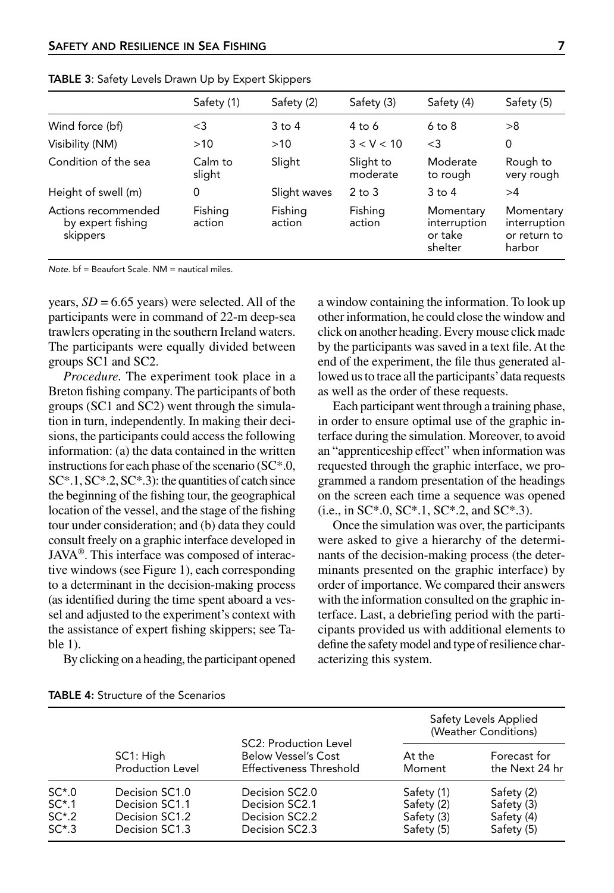|                                                      | Safety (1)        | Safety (2)        | Safety (3)            | Safety (4)                                      | Safety (5)                                          |
|------------------------------------------------------|-------------------|-------------------|-----------------------|-------------------------------------------------|-----------------------------------------------------|
|                                                      |                   |                   |                       |                                                 |                                                     |
| Wind force (bf)                                      | $<$ 3             | $3$ to $4$        | $4$ to 6              | $6$ to $8$                                      | >8                                                  |
| Visibility (NM)                                      | >10               | >10               | 3 < V < 10            | $<$ 3                                           | 0                                                   |
| Condition of the sea                                 | Calm to<br>slight | Slight            | Slight to<br>moderate | Moderate<br>to rough                            | Rough to<br>very rough                              |
| Height of swell (m)                                  | 0                 | Slight waves      | $2$ to $3$            | $3$ to 4                                        | >4                                                  |
| Actions recommended<br>by expert fishing<br>skippers | Fishing<br>action | Fishing<br>action | Fishing<br>action     | Momentary<br>interruption<br>or take<br>shelter | Momentary<br>interruption<br>or return to<br>harbor |

TABLE 3: Safety Levels Drawn Up by Expert Skippers

*Note.* bf = Beaufort Scale. NM = nautical miles.

years,  $SD = 6.65$  years) were selected. All of the participants were in command of 22-m deep-sea trawlers operating in the southern Ireland waters. The participants were equally divided between groups SC1 and SC2.

*Procedure.* The experiment took place in a Breton fishing company. The participants of both groups (SC1 and SC2) went through the simulation in turn, independently. In making their decisions, the participants could access the following information: (a) the data contained in the written instructions for each phase of the scenario (SC\*.0, SC\*.1, SC\*.2, SC\*.3): the quantities of catch since the beginning of the fishing tour, the geographical location of the vessel, and the stage of the fishing tour under consideration; and (b) data they could consult freely on a graphic interface developed in JAVA®. This interface was composed of interactive windows (see Figure 1), each corresponding to a determinant in the decision-making process (as identified during the time spent aboard a vessel and adjusted to the experiment's context with the assistance of expert fishing skippers; see Table 1).

By clicking on a heading, the participant opened

a window containing the information. To look up other information, he could close the window and click on another heading. Every mouse click made by the participants was saved in a text file. At the end of the experiment, the file thus generated allowed us to trace all the participants'data requests as well as the order of these requests.

Each participant went through a training phase, in order to ensure optimal use of the graphic interface during the simulation. Moreover, to avoid an "apprenticeship effect" when information was requested through the graphic interface, we programmed a random presentation of the headings on the screen each time a sequence was opened (i.e., in SC\*.0, SC\*.1, SC\*.2, and SC\*.3).

Once the simulation was over, the participants were asked to give a hierarchy of the determinants of the decision-making process (the determinants presented on the graphic interface) by order of importance. We compared their answers with the information consulted on the graphic interface. Last, a debriefing period with the participants provided us with additional elements to define the safety model and type of resilience characterizing this system.

Safety Levels Applied

| (Weather Conditions) | Safety Levels Applied          |
|----------------------|--------------------------------|
| At the<br>Moment     | Forecast for<br>the Next 24 hr |
| Safety (1)           | Safety (2)                     |
| Safety (2)           | Safety (3)                     |
| Safety (3)           | Safety (4)                     |
| Safety (5)           | Safety (5)                     |
|                      |                                |

| <b>TABLE 4:</b> Structure of the Scenarios |  |
|--------------------------------------------|--|
|--------------------------------------------|--|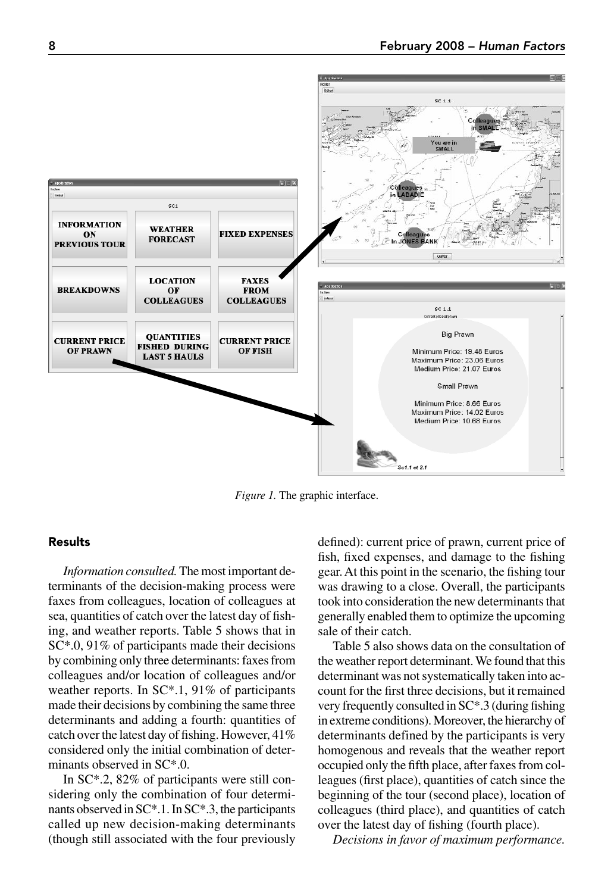

*Figure 1.* The graphic interface.

## Results

*Information consulted.*The most important determinants of the decision-making process were faxes from colleagues, location of colleagues at sea, quantities of catch over the latest day of fishing, and weather reports. Table 5 shows that in SC\*.0, 91% of participants made their decisions by combining only three determinants: faxes from colleagues and/or location of colleagues and/or weather reports. In SC\*.1, 91% of participants made their decisions by combining the same three determinants and adding a fourth: quantities of catch over the latest day of fishing. However, 41% considered only the initial combination of determinants observed in SC\*.0.

In SC\*.2, 82% of participants were still considering only the combination of four determinants observed in SC\*.1. In SC\*.3, the participants called up new decision-making determinants (though still associated with the four previously defined): current price of prawn, current price of fish, fixed expenses, and damage to the fishing gear. At this point in the scenario, the fishing tour was drawing to a close. Overall, the participants took into consideration the new determinants that generally enabled them to optimize the upcoming sale of their catch.

Table 5 also shows data on the consultation of the weather report determinant. We found that this determinant was not systematically taken into account for the first three decisions, but it remained very frequently consulted in SC\*.3 (during fishing in extreme conditions). Moreover, the hierarchy of determinants defined by the participants is very homogenous and reveals that the weather report occupied only the fifth place, after faxes from colleagues (first place), quantities of catch since the beginning of the tour (second place), location of colleagues (third place), and quantities of catch over the latest day of fishing (fourth place).

*Decisions in favor of maximum performance.*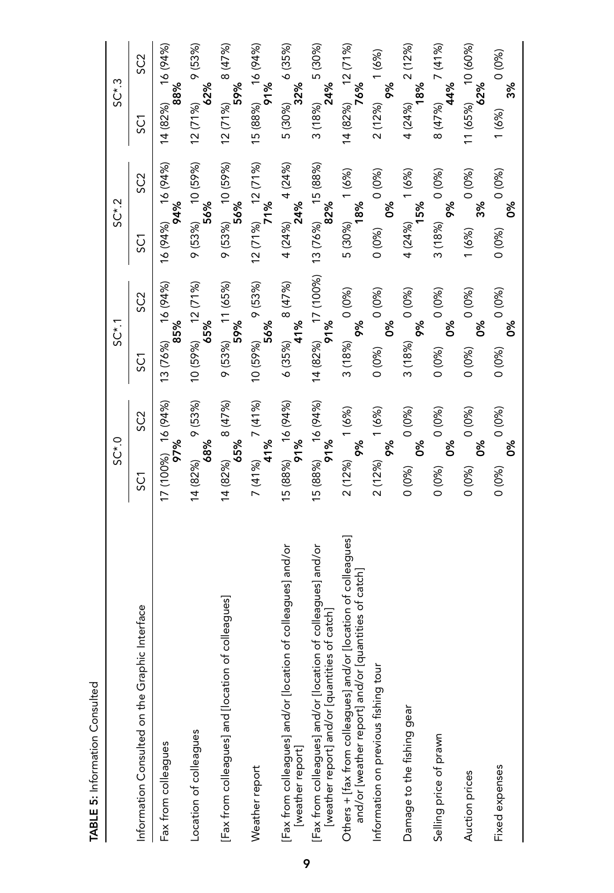|                                                                                                                          | $SC*0$                          |                                  | $SC*1$                       |                              | $SC*2$                       |                                 | $SC*3$                         |                         |
|--------------------------------------------------------------------------------------------------------------------------|---------------------------------|----------------------------------|------------------------------|------------------------------|------------------------------|---------------------------------|--------------------------------|-------------------------|
| nformation Consulted on the Graphic Interface                                                                            | 501                             | SC2                              | 501                          | SC2                          | <u>ნე</u>                    | SC2                             | SC <sub>1</sub>                | SC2                     |
| Fax from colleagues                                                                                                      |                                 | 17 (100%) 16 (94%)<br><b>97%</b> |                              | $13(76%)$ $16(94%)$<br>$85%$ |                              | $16(94%)$ $16(94%)$<br>$94%$    | $14(82%)$ $16(94%)$            |                         |
| ocation of colleagues                                                                                                    | $14(82%)$ 9                     | 9 (53%)                          | $10(59\%)$ $12(71\%)$<br>65% |                              |                              | $9 (53%)$ 10 (59%)<br>56%       | $12(71\%)$ 9 (                 | 9(53%)                  |
| Fax from colleagues] and [location of colleagues]                                                                        |                                 | $14(82%)$ 8 (47%)                |                              | $9(53%)$ 11 (65%)<br>59%     |                              | $9(53%)$ 10 (59%)<br>56%        | $12(71\%)$ 8 (47%)             |                         |
| Weather report                                                                                                           |                                 | 7 (41%) 7 (41%)<br>41%           | $10(59%)$ $9(53%)$           |                              |                              | $12(71\%)$ $12(71\%)$<br>$71\%$ | $15(88%)$ $16(94%)$<br>91%     |                         |
| s] and/or<br>Fax from colleagues] and/or [location of colleague<br>[weather report]                                      |                                 | $15(88%)$ $16(94%)$<br>$91%$     |                              | $6(35%)$ $8(47%)$<br>$41%$   |                              | 4 (24%) 4 (24%)<br>24%          |                                | $5(30%)$ 6 (35%)<br>32% |
| Fax from colleagues] and/or [location of colleagues] and/or<br>[weather report] and/or [quantities of catch]             | 15 (88%) 16 (94%)<br><b>91%</b> |                                  |                              | $14(82%)$ 17 (100%)<br>91%   | $13(76%)$ $15(88%)$<br>$82%$ |                                 | $3(18\%)$ 5                    | 5 (30%)                 |
| colleagues<br>and/or [weather report] and/or [quantities of catch]<br>Others + [fax from colleagues] and/or [location of | $2(12%)$ $1(6%)$<br>9%          |                                  | $3(18%)$ 0 (0%)              |                              | $5(30%)$ $1(6%)$<br>$18%$    |                                 | $14 (82%)$ $12 (71%)$<br>$76%$ |                         |
| Information on previous fishing tour                                                                                     | $2(12%)$ $1(6%)$                |                                  | 0(0%)                        | 0(0%)<br>೦%                  | $0(0\%)$ $0\%$               | 0(0%)                           | $2(12%)$ $1(6%)$<br>9%         |                         |
| Damage to the fishing gear                                                                                               | $0(0\%)$ $0(0\%)$               |                                  | $3(18%)$ 0 (0%)              |                              | $4(24%)$ $1(6%)$<br>15%      |                                 |                                | $4(24%)$ 2 (12%)<br>18% |
| Selling price of prawn                                                                                                   | $(0\%)$                         | 0(0%)<br>Ook                     | $0(0\%)$ $\frac{60}{10\%}$   | 0(0%)                        | $3(18%)$<br>9%               | 0(0%)                           |                                | $8(47%)$ 7 (41%)<br>44% |
| Auction prices                                                                                                           | 0(0%)                           | 0 (0%)<br>ೲ                      | $0(0\%)$                     | 0 (0%)<br>ೲ                  | 1(6%)                        | 0(0%)<br>3%                     | $11 (65%)$ $10 (60%)$<br>$62%$ |                         |
| Fixed expenses                                                                                                           | $(0\%)$                         | 0 (0%)<br>ಶಿಂ                    | $(0\%)$                      | 0 (0%)<br>0%                 | $(0\%)$                      | 0 (0%)<br>0%                    | 1(6%)                          | (0.00)<br>ೢ             |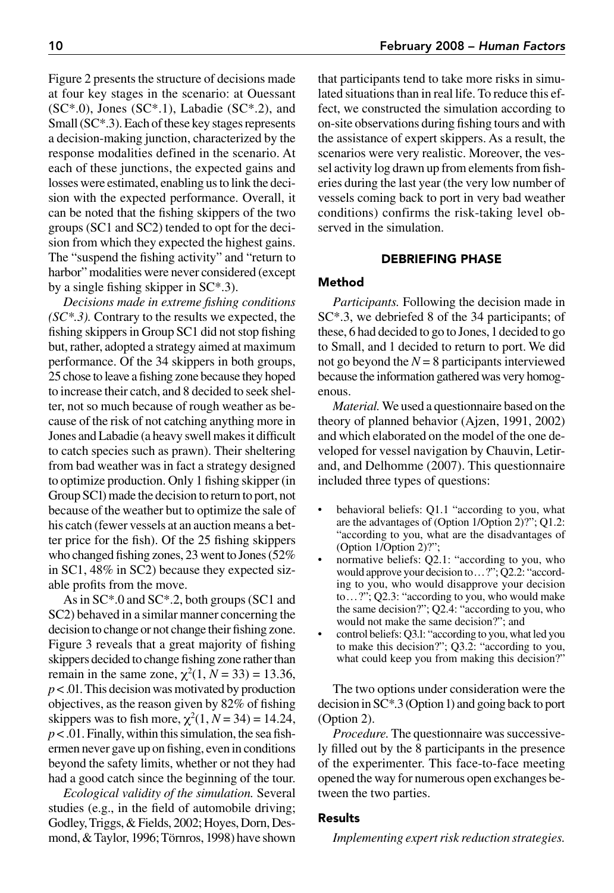Figure 2 presents the structure of decisions made at four key stages in the scenario: at Ouessant  $(SC*,0)$ , Jones  $(SC*,1)$ , Labadie  $(SC*,2)$ , and Small (SC\*.3). Each of these key stages represents a decision-making junction, characterized by the response modalities defined in the scenario. At each of these junctions, the expected gains and losses were estimated, enabling us to link the decision with the expected performance. Overall, it can be noted that the fishing skippers of the two groups (SC1 and SC2) tended to opt for the decision from which they expected the highest gains. The "suspend the fishing activity" and "return to harbor" modalities were never considered (except by a single fishing skipper in SC\*.3).

*Decisions made in extreme fishing conditions (SC\*.3).* Contrary to the results we expected, the fishing skippers in Group SC1 did not stop fishing but, rather, adopted a strategy aimed at maximum performance. Of the 34 skippers in both groups, 25 chose to leave a fishing zone because they hoped to increase their catch, and 8 decided to seek shelter, not so much because of rough weather as because of the risk of not catching anything more in Jones and Labadie (a heavy swell makes it difficult to catch species such as prawn). Their sheltering from bad weather was in fact a strategy designed to optimize production. Only 1 fishing skipper (in Group SC1) made the decision to return to port, not because of the weather but to optimize the sale of his catch (fewer vessels at an auction means a better price for the fish). Of the 25 fishing skippers who changed fishing zones, 23 went to Jones (52% in SC1, 48% in SC2) because they expected sizable profits from the move.

As in SC\*.0 and SC\*.2, both groups (SC1 and SC2) behaved in a similar manner concerning the decision to change or not change their fishing zone. Figure 3 reveals that a great majority of fishing skippers decided to change fishing zone rather than remain in the same zone,  $\chi^2(1, N = 33) = 13.36$ , *p* < .01. This decision was motivated by production objectives, as the reason given by 82% of fishing skippers was to fish more,  $\chi^2(1, N = 34) = 14.24$ ,  $p < 0.01$ . Finally, within this simulation, the sea fishermen never gave up on fishing, even in conditions beyond the safety limits, whether or not they had had a good catch since the beginning of the tour.

*Ecological validity of the simulation.* Several studies (e.g., in the field of automobile driving; Godley, Triggs, & Fields, 2002; Hoyes, Dorn, Desmond, & Taylor, 1996; Törnros, 1998) have shown that participants tend to take more risks in simulated situations than in real life. To reduce this effect, we constructed the simulation according to on-site observations during fishing tours and with the assistance of expert skippers. As a result, the scenarios were very realistic. Moreover, the vessel activity log drawn up from elements from fisheries during the last year (the very low number of vessels coming back to port in very bad weather conditions) confirms the risk-taking level observed in the simulation.

## DEBRIEFING PHASE

#### Method

*Participants.* Following the decision made in SC\*.3, we debriefed 8 of the 34 participants; of these, 6 had decided to go to Jones, 1 decided to go to Small, and 1 decided to return to port. We did not go beyond the  $N = 8$  participants interviewed because the information gathered was very homogenous.

*Material.* We used a questionnaire based on the theory of planned behavior (Ajzen, 1991, 2002) and which elaborated on the model of the one developed for vessel navigation by Chauvin, Letirand, and Delhomme (2007). This questionnaire included three types of questions:

- behavioral beliefs: Q1.1 "according to you, what are the advantages of (Option 1/Option 2)?"; Q1.2: "according to you, what are the disadvantages of (Option 1/Option 2)?";
- normative beliefs: Q2.1: "according to you, who would approve your decision to...?"; Q2.2: "according to you, who would disapprove your decision to...?"; Q2.3: "according to you, who would make the same decision?"; Q2.4: "according to you, who would not make the same decision?"; and
- control beliefs: Q3.1: "according to you, what led you to make this decision?"; Q3.2: "according to you, what could keep you from making this decision?"

The two options under consideration were the decision in  $SC^*$ .3 (Option 1) and going back to port (Option 2).

*Procedure.*The questionnaire was successively filled out by the 8 participants in the presence of the experimenter. This face-to-face meeting opened the way for numerous open exchanges between the two parties.

#### Results

#### *Implementing expert risk reduction strategies.*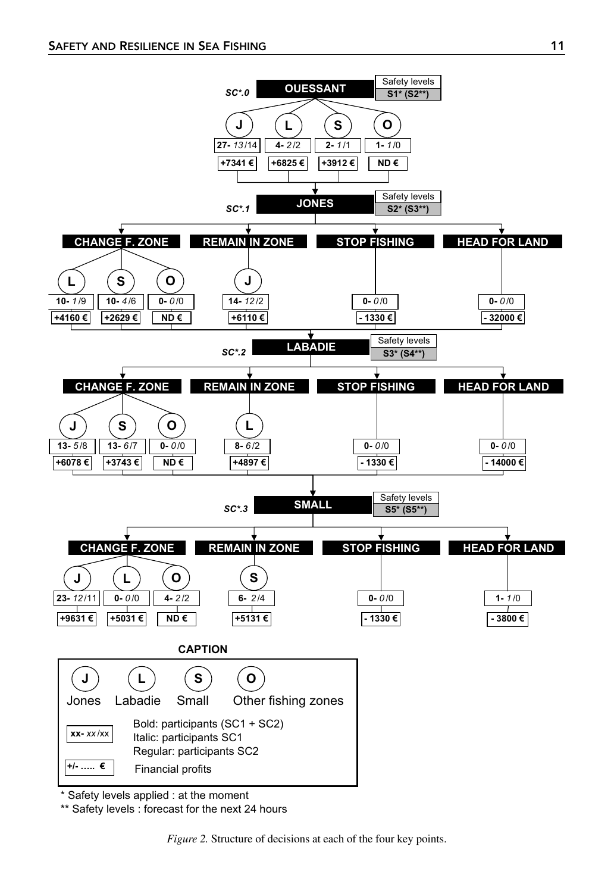

Safety levels applied : at the moment

\*\* Safety levels : forecast for the next 24 hours

*Figure 2.* Structure of decisions at each of the four key points.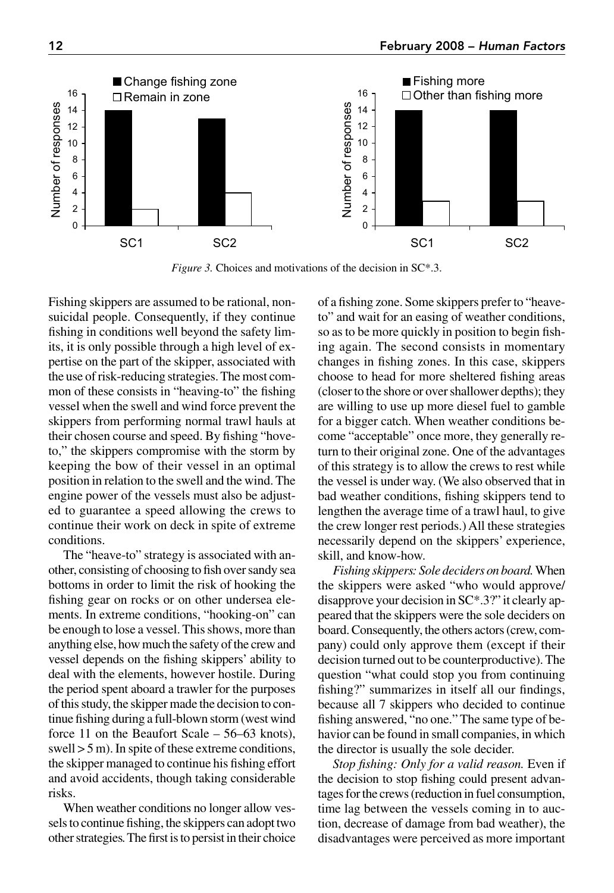

*Figure 3.* Choices and motivations of the decision in SC\*.3.

Fishing skippers are assumed to be rational, nonsuicidal people. Consequently, if they continue fishing in conditions well beyond the safety limits, it is only possible through a high level of expertise on the part of the skipper, associated with the use of risk-reducing strategies. The most common of these consists in "heaving-to" the fishing vessel when the swell and wind force prevent the skippers from performing normal trawl hauls at their chosen course and speed. By fishing "hoveto," the skippers compromise with the storm by keeping the bow of their vessel in an optimal position in relation to the swell and the wind. The engine power of the vessels must also be adjusted to guarantee a speed allowing the crews to continue their work on deck in spite of extreme conditions.

The "heave-to" strategy is associated with another, consisting of choosing to fish over sandy sea bottoms in order to limit the risk of hooking the fishing gear on rocks or on other undersea elements. In extreme conditions, "hooking-on" can be enough to lose a vessel. This shows, more than anything else, how much the safety of the crew and vessel depends on the fishing skippers' ability to deal with the elements, however hostile. During the period spent aboard a trawler for the purposes of this study, the skipper made the decision to continue fishing during a full-blown storm (west wind force 11 on the Beaufort Scale – 56–63 knots), swell > 5 m). In spite of these extreme conditions, the skipper managed to continue his fishing effort and avoid accidents, though taking considerable risks.

When weather conditions no longer allow vessels to continue fishing, the skippers can adopt two other strategies. The first is to persist in their choice

of a fishing zone. Some skippers prefer to "heaveto" and wait for an easing of weather conditions, so as to be more quickly in position to begin fishing again. The second consists in momentary changes in fishing zones. In this case, skippers choose to head for more sheltered fishing areas (closer to the shore or over shallower depths); they are willing to use up more diesel fuel to gamble for a bigger catch. When weather conditions become "acceptable" once more, they generally return to their original zone. One of the advantages of this strategy is to allow the crews to rest while the vessel is under way. (We also observed that in bad weather conditions, fishing skippers tend to lengthen the average time of a trawl haul, to give the crew longer rest periods.) All these strategies necessarily depend on the skippers' experience, skill, and know-how.

*Fishing skippers: Sole deciders on board.*When the skippers were asked "who would approve/ disapprove your decision in SC\*.3?" it clearly appeared that the skippers were the sole deciders on board. Consequently, the others actors (crew, company) could only approve them (except if their decision turned out to be counterproductive). The question "what could stop you from continuing fishing?" summarizes in itself all our findings, because all 7 skippers who decided to continue fishing answered, "no one." The same type of behavior can be found in small companies, in which the director is usually the sole decider.

*Stop fishing: Only for a valid reason.* Even if the decision to stop fishing could present advantages for the crews (reduction in fuel consumption, time lag between the vessels coming in to auction, decrease of damage from bad weather), the disadvantages were perceived as more important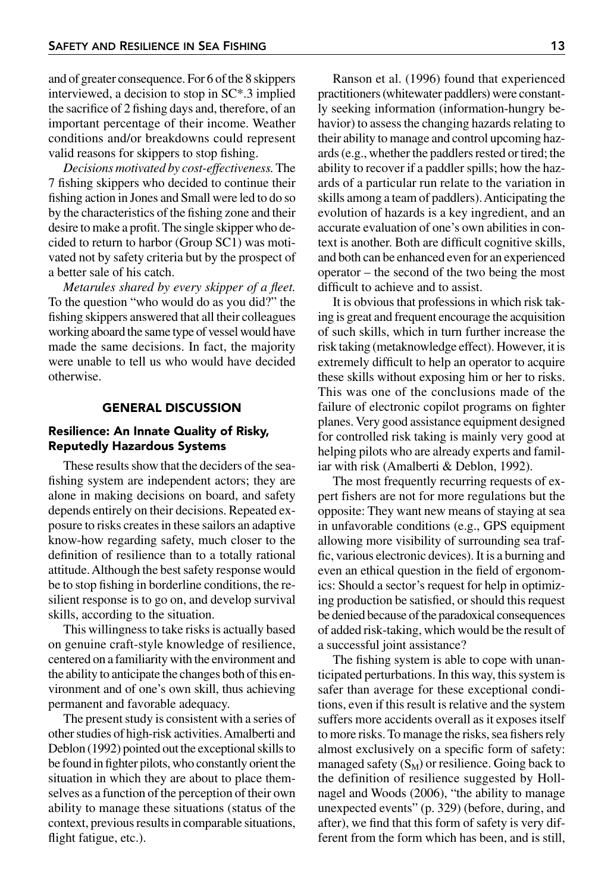and of greater consequence. For 6 of the 8 skippers interviewed, a decision to stop in SC\*.3 implied the sacrifice of 2 fishing days and, therefore, of an important percentage of their income. Weather conditions and/or breakdowns could represent valid reasons for skippers to stop fishing.

*Decisions motivated by cost-effectiveness.*The 7 fishing skippers who decided to continue their fishing action in Jones and Small were led to do so by the characteristics of the fishing zone and their desire to make a profit. The single skipper who decided to return to harbor (Group SC1) was motivated not by safety criteria but by the prospect of a better sale of his catch.

*Metarules shared by every skipper of a fleet.* To the question "who would do as you did?" the fishing skippers answered that all their colleagues working aboard the same type of vessel would have made the same decisions. In fact, the majority were unable to tell us who would have decided otherwise.

#### GENERAL DISCUSSION

## Resilience: An Innate Quality of Risky, Reputedly Hazardous Systems

These results show that the deciders of the seafishing system are independent actors; they are alone in making decisions on board, and safety depends entirely on their decisions. Repeated exposure to risks creates in these sailors an adaptive know-how regarding safety, much closer to the definition of resilience than to a totally rational attitude. Although the best safety response would be to stop fishing in borderline conditions, the resilient response is to go on, and develop survival skills, according to the situation.

This willingness to take risks is actually based on genuine craft-style knowledge of resilience, centered on a familiarity with the environment and the ability to anticipate the changes both of this environment and of one's own skill, thus achieving permanent and favorable adequacy.

The present study is consistent with a series of other studies of high-risk activities. Amalberti and Deblon (1992) pointed out the exceptional skills to be found in fighter pilots, who constantly orient the situation in which they are about to place themselves as a function of the perception of their own ability to manage these situations (status of the context, previous results in comparable situations, flight fatigue, etc.).

Ranson et al. (1996) found that experienced practitioners (whitewater paddlers) were constantly seeking information (information-hungry behavior) to assess the changing hazards relating to their ability to manage and control upcoming hazards (e.g., whether the paddlers rested or tired; the ability to recover if a paddler spills; how the hazards of a particular run relate to the variation in skills among a team of paddlers). Anticipating the evolution of hazards is a key ingredient, and an accurate evaluation of one's own abilities in context is another. Both are difficult cognitive skills, and both can be enhanced even for an experienced operator – the second of the two being the most difficult to achieve and to assist.

It is obvious that professions in which risk taking is great and frequent encourage the acquisition of such skills, which in turn further increase the risk taking (metaknowledge effect). However, it is extremely difficult to help an operator to acquire these skills without exposing him or her to risks. This was one of the conclusions made of the failure of electronic copilot programs on fighter planes. Very good assistance equipment designed for controlled risk taking is mainly very good at helping pilots who are already experts and familiar with risk (Amalberti & Deblon, 1992).

The most frequently recurring requests of expert fishers are not for more regulations but the opposite: They want new means of staying at sea in unfavorable conditions (e.g., GPS equipment allowing more visibility of surrounding sea traffic, various electronic devices). It is a burning and even an ethical question in the field of ergonomics: Should a sector's request for help in optimizing production be satisfied, or should this request be denied because of the paradoxical consequences of added risk-taking, which would be the result of a successful joint assistance?

The fishing system is able to cope with unanticipated perturbations. In this way, this system is safer than average for these exceptional conditions, even if this result is relative and the system suffers more accidents overall as it exposes itself to more risks. To manage the risks, sea fishers rely almost exclusively on a specific form of safety: managed safety  $(S_M)$  or resilience. Going back to the definition of resilience suggested by Hollnagel and Woods (2006), "the ability to manage unexpected events" (p. 329) (before, during, and after), we find that this form of safety is very different from the form which has been, and is still,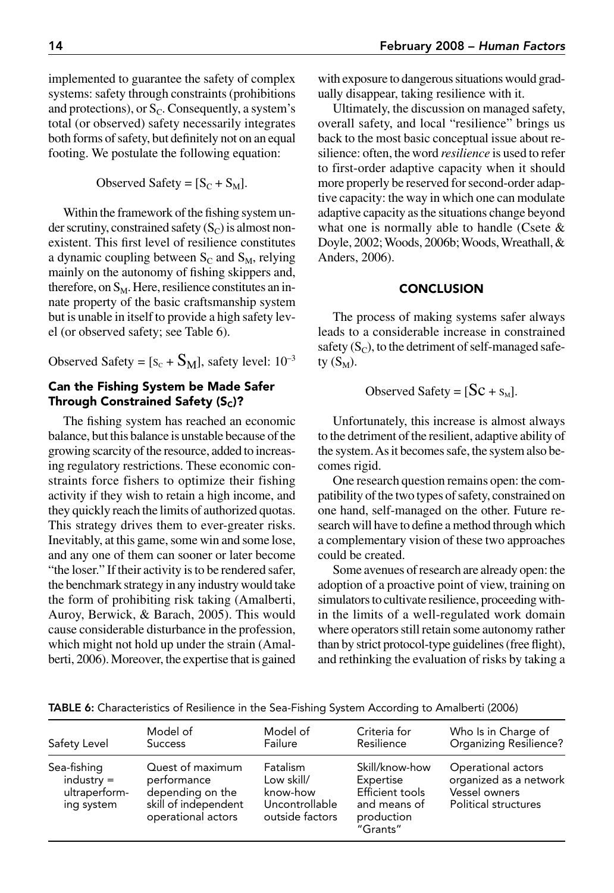implemented to guarantee the safety of complex systems: safety through constraints (prohibitions and protections), or  $S_C$ . Consequently, a system's total (or observed) safety necessarily integrates both forms of safety, but definitely not on an equal footing. We postulate the following equation:

Observed Safety =  $[S_C + S_M]$ .

Within the framework of the fishing system under scrutiny, constrained safety  $(S_C)$  is almost nonexistent. This first level of resilience constitutes a dynamic coupling between  $S_C$  and  $S_M$ , relying mainly on the autonomy of fishing skippers and, therefore, on  $S_M$ . Here, resilience constitutes an innate property of the basic craftsmanship system but is unable in itself to provide a high safety level (or observed safety; see Table 6).

Observed Safety =  $[s_c + S_M]$ , safety level:  $10^{-3}$ 

## Can the Fishing System be Made Safer Through Constrained Safety  $(S_C)$ ?

The fishing system has reached an economic balance, but this balance is unstable because of the growing scarcity of the resource, added to increasing regulatory restrictions. These economic constraints force fishers to optimize their fishing activity if they wish to retain a high income, and they quickly reach the limits of authorized quotas. This strategy drives them to ever-greater risks. Inevitably, at this game, some win and some lose, and any one of them can sooner or later become "the loser." If their activity is to be rendered safer, the benchmark strategy in any industry would take the form of prohibiting risk taking (Amalberti, Auroy, Berwick, & Barach, 2005). This would cause considerable disturbance in the profession, which might not hold up under the strain (Amalberti, 2006). Moreover, the expertise that is gained

with exposure to dangerous situations would gradually disappear, taking resilience with it.

Ultimately, the discussion on managed safety, overall safety, and local "resilience" brings us back to the most basic conceptual issue about resilience: often, the word *resilience* is used to refer to first-order adaptive capacity when it should more properly be reserved for second-order adaptive capacity: the way in which one can modulate adaptive capacity as the situations change beyond what one is normally able to handle (Csete & Doyle, 2002; Woods, 2006b; Woods, Wreathall, & Anders, 2006).

### **CONCLUSION**

The process of making systems safer always leads to a considerable increase in constrained safety  $(S_C)$ , to the detriment of self-managed safety  $(S_M)$ .

Observed Safety =  $[Sc + s_M]$ .

Unfortunately, this increase is almost always to the detriment of the resilient, adaptive ability of the system. As it becomes safe, the system also becomes rigid.

One research question remains open: the compatibility of the two types of safety, constrained on one hand, self-managed on the other. Future research will have to define a method through which a complementary vision of these two approaches could be created.

Some avenues of research are already open: the adoption of a proactive point of view, training on simulators to cultivate resilience, proceeding within the limits of a well-regulated work domain where operators still retain some autonomy rather than by strict protocol-type guidelines (free flight), and rethinking the evaluation of risks by taking a

| Safety Level                                               | Model of                                                                                          | Model of                                                                | Criteria for                                                                             | Who Is in Charge of                                                                          |
|------------------------------------------------------------|---------------------------------------------------------------------------------------------------|-------------------------------------------------------------------------|------------------------------------------------------------------------------------------|----------------------------------------------------------------------------------------------|
|                                                            | <b>Success</b>                                                                                    | Failure                                                                 | Resilience                                                                               | Organizing Resilience?                                                                       |
| Sea-fishing<br>$industry =$<br>ultraperform-<br>ing system | Quest of maximum<br>performance<br>depending on the<br>skill of independent<br>operational actors | Fatalism<br>Low skill/<br>know-how<br>Uncontrollable<br>outside factors | Skill/know-how<br>Expertise<br>Efficient tools<br>and means of<br>production<br>"Grants" | Operational actors<br>organized as a network<br>Vessel owners<br><b>Political structures</b> |

TABLE 6: Characteristics of Resilience in the Sea-Fishing System According to Amalberti (2006)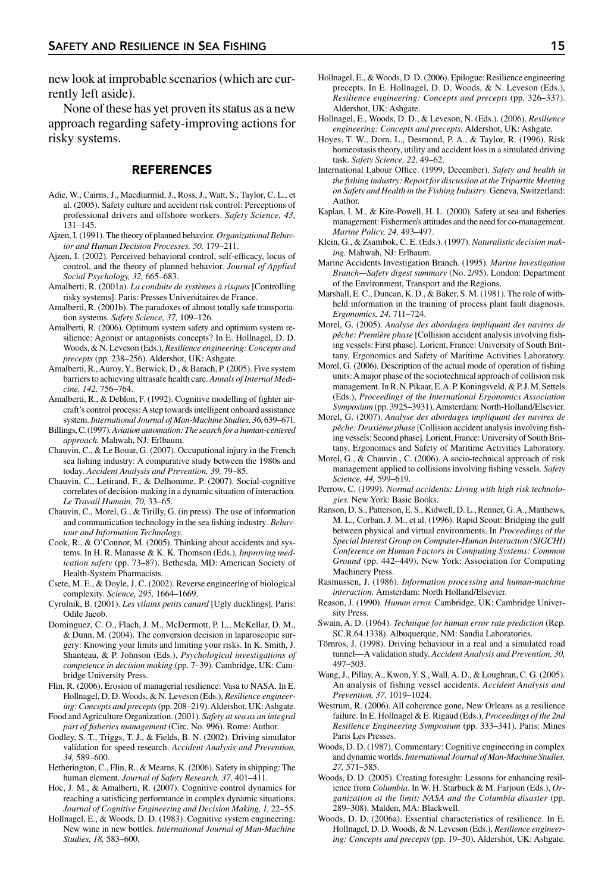new look at improbable scenarios (which are currently left aside).

None of these has yet proven its status as a new approach regarding safety-improving actions for risky systems.

### REFERENCES

- Adie, W., Cairns, J., Macdiarmid, J., Ross, J., Watt, S., Taylor, C. L., et al. (2005). Safety culture and accident risk control: Perceptions of professional drivers and offshore workers. *Safety Science, 43,* 131–145.
- Ajzen, I. (1991). The theory of planned behavior*. Organizational Behavior and Human Decision Processes, 50,* 179–211.
- Ajzen, I. (2002). Perceived behavioral control, self-efficacy, locus of control, and the theory of planned behavior. *Journal of Applied Social Psychology, 32,* 665–683.
- Amalberti, R. (2001a). *La conduite de systèmes à risques* [Controlling risky systems]. Paris: Presses Universitaires de France.
- Amalberti, R. (2001b). The paradoxes of almost totally safe transportation systems. *Safety Science, 37,* 109–126.
- Amalberti, R. (2006). Optimum system safety and optimum system resilience: Agonist or antagonists concepts? In E. Hollnagel, D. D. Woods, & N. Leveson (Eds.), *Resilience engineering: Concepts and precepts* (pp. 238–256). Aldershot, UK: Ashgate.
- Amalberti, R., Auroy, Y., Berwick, D., & Barach, P. (2005). Five system barriers to achieving ultrasafe health care. *Annals of Internal Medicine, 142,* 756–764.
- Amalberti, R., & Deblon, F. (1992). Cognitive modelling of fighter aircraft's control process: Astep towards intelligent onboard assistance system.*International Journal of Man-Machine Studies, 36*, 639–671.
- Billings, C. (1997). *Aviation automation: The search for a human-centered approach.* Mahwah, NJ: Erlbaum.
- Chauvin, C., & Le Bouar, G. (2007). Occupational injury in the French sea fishing industry: A comparative study between the 1980s and today. *Accident Analysis and Prevention, 39,* 79–85.
- Chauvin, C., Letirand, F., & Delhomme, P. (2007). Social-cognitive correlates of decision-making in a dynamic situation of interaction. *Le Travail Humain, 70,* 33–65.
- Chauvin, C., Morel, G., & Tirilly, G. (in press). The use of information and communication technology in the sea fishing industry*. Behaviour and Information Technology.*
- Cook, R., & O'Connor, M. (2005). Thinking about accidents and systems. In H. R. Manasse & K. K. Thomson (Eds.), *Improving medication safety* (pp. 73–87). Bethesda, MD: American Society of Health-System Pharmacists.
- Csete, M. E., & Doyle, J. C. (2002). Reverse engineering of biological complexity. *Science, 295,* 1664–1669.
- Cyrulnik, B. (2001). *Les vilains petits canard* [Ugly ducklings]*.* Paris: Odile Jacob.
- Dominguez, C. O., Flach, J. M., McDermott, P. L., McKellar, D. M., & Dunn, M. (2004). The conversion decision in laparoscopic surgery: Knowing your limits and limiting your risks. In K. Smith, J. Shanteau, & P. Johnson (Eds.), *Psychological investigations of competence in decision making* (pp. 7–39). Cambridge, UK: Cambridge University Press.
- Flin, R. (2006). Erosion of managerial resilience: Vasa to NASA. In E. Hollnagel, D. D. Woods, & N. Leveson (Eds.), *Resilience engineering: Concepts and precepts*(pp. 208–219). Aldershot, UK: Ashgate.
- Food and Agriculture Organization. (2001). *Safety at sea as an integral part of fisheries management* (Circ. No. 996). Rome: Author.
- Godley, S. T., Triggs, T. J., & Fields, B. N. (2002). Driving simulator validation for speed research. *Accident Analysis and Prevention, 34,* 589–600.
- Hetherington, C., Flin, R., & Mearns, K. (2006). Safety in shipping: The human element. *Journal of Safety Research, 37,* 401–411.
- Hoc, J. M., & Amalberti, R. (2007). Cognitive control dynamics for reaching a satisficing performance in complex dynamic situations. *Journal of Cognitive Engineering and Decision Making, 1,* 22–55.
- Hollnagel, E., & Woods, D. D. (1983). Cognitive system engineering: New wine in new bottles. *International Journal of Man-Machine Studies, 18,* 583–600.
- Hollnagel, E., & Woods, D. D. (2006). Epilogue: Resilience engineering precepts. In E. Hollnagel, D. D. Woods, & N. Leveson (Eds.), *Resilience engineering: Concepts and precepts* (pp. 326–337). Aldershot, UK: Ashgate.
- Hollnagel, E., Woods, D. D., & Leveson, N. (Eds.). (2006). *Resilience engineering: Concepts and precepts.* Aldershot, UK: Ashgate.
- Hoyes, T. W., Dorn, L., Desmond, P. A., & Taylor, R. (1996). Risk homeostasis theory, utility and accident loss in a simulated driving task. *Safety Science, 22,* 49–62.
- International Labour Office. (1999, December). *Safety and health in the fishing industry: Report for discussion at the Tripartite Meeting on Safety and Health in the Fishing Industry*. Geneva, Switzerland: Author.
- Kaplan, I. M., & Kite-Powell, H. L. (2000). Safety at sea and fisheries management: Fishermen's attitudes and the need for co-management. *Marine Policy, 24,* 493–497.
- Klein, G., & Zsambok, C. E. (Eds.). (1997). *Naturalistic decision making.* Mahwah, NJ: Erlbaum.
- Marine Accidents Investigation Branch. (1995). *Marine Investigation Branch—Safety digest summary* (No. 2/95). London: Department of the Environment, Transport and the Regions.
- Marshall, E. C., Duncan, K. D., & Baker, S. M. (1981). The role of withheld information in the training of process plant fault diagnosis. *Ergonomics, 24,* 711–724.
- Morel, G. (2005). *Analyse des abordages impliquant des navires de pêche: Première phase* [Collision accident analysis involving fishing vessels: First phase]*.* Lorient, France: University of South Brittany, Ergonomics and Safety of Maritime Activities Laboratory.
- Morel, G. (2006). Description of the actual mode of operation of fishing units: Amajor phase of the sociotechnical approach of collision risk management. In R. N. Pikaar, E. A. P. Koningsveld, & P. J. M. Settels (Eds.), *Proceedings of the International Ergonomics Association Symposium* (pp. 3925–3931). Amsterdam: North-Holland/Elsevier.
- Morel, G. (2007). *Analyse des abordages impliquant des navires de pêche: Deuxième phase* [Collision accident analysis involving fishing vessels: Second phase]*.*Lorient, France: University of South Brittany, Ergonomics and Safety of Maritime Activities Laboratory.
- Morel, G., & Chauvin., C. (2006). A socio-technical approach of risk management applied to collisions involving fishing vessels*. Safety Science, 44,* 599–619.
- Perrow, C. (1999). *Normal accidents: Living with high risk technologies.* New York: Basic Books.
- Ranson, D. S., Patterson, E. S., Kidwell, D. L., Renner, G. A., Matthews, M. L., Corban, J. M., et al. (1996). Rapid Scout: Bridging the gulf between physical and virtual environments. In *Proceedings of the Special Interest Group on Computer-Human Interaction (SIGCHI) Conference on Human Factors in Computing Systems: Common Ground* (pp. 442–449). New York: Association for Computing Machinery Press.
- Rasmussen, J. (1986). *Information processing and human-machine interaction.* Amsterdam: North Holland/Elsevier.
- Reason, J. (1990). *Human error.* Cambridge, UK: Cambridge University Press.
- Swain, A. D. (1964). *Technique for human error rate prediction* (Rep. SC.R.64.1338). Albuquerque, NM: Sandia Laboratories.
- Törnros, J. (1998). Driving behaviour in a real and a simulated road tunnel—A validation study. *Accident Analysis and Prevention, 30,* 497–503.
- Wang, J., Pillay, A., Kwon, Y. S., Wall, A. D., & Loughran, C. G. (2005). An analysis of fishing vessel accidents. *Accident Analysis and Prevention, 37,* 1019–1024.
- Westrum, R. (2006). All coherence gone, New Orleans as a resilience failure. In E. Hollnagel & E. Rigaud (Eds.), *Proceedings of the 2nd Resilience Engineering Symposium* (pp. 333–341). Paris: Mines Paris Les Presses.
- Woods, D. D. (1987). Commentary: Cognitive engineering in complex and dynamic worlds. *International Journal of Man-Machine Studies, 27,* 571–585.
- Woods, D. D. (2005). Creating foresight: Lessons for enhancing resilience from *Columbia.* In W. H. Starbuck & M. Farjoun (Eds.), *Organization at the limit: NASA and the Columbia disaster* (pp. 289–308). Malden, MA: Blackwell.
- Woods, D. D. (2006a). Essential characteristics of resilience. In E. Hollnagel, D. D. Woods, & N. Leveson (Eds.), *Resilience engineering: Concepts and precepts* (pp. 19–30). Aldershot, UK: Ashgate.